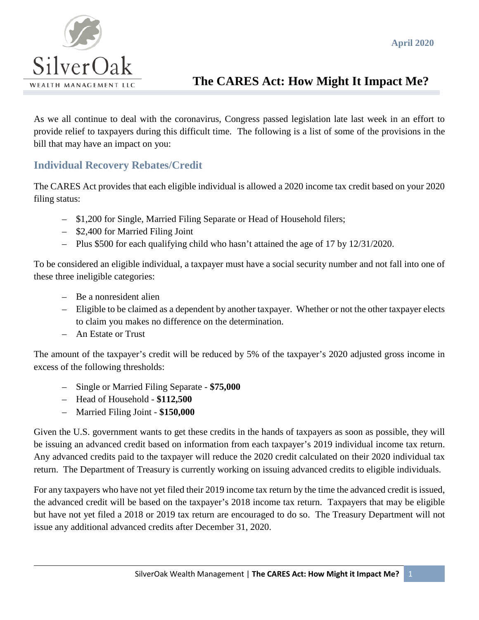

# **The CARES Act: How Might It Impact Me?**

As we all continue to deal with the coronavirus, Congress passed legislation late last week in an effort to provide relief to taxpayers during this difficult time. The following is a list of some of the provisions in the bill that may have an impact on you:

#### **Individual Recovery Rebates/Credit**

The CARES Act provides that each eligible individual is allowed a 2020 income tax credit based on your 2020 filing status:

- \$1,200 for Single, Married Filing Separate or Head of Household filers;
- \$2,400 for Married Filing Joint
- Plus \$500 for each qualifying child who hasn't attained the age of 17 by 12/31/2020.

To be considered an eligible individual, a taxpayer must have a social security number and not fall into one of these three ineligible categories:

- Be a nonresident alien
- Eligible to be claimed as a dependent by another taxpayer. Whether or not the other taxpayer elects to claim you makes no difference on the determination.
- An Estate or Trust

The amount of the taxpayer's credit will be reduced by 5% of the taxpayer's 2020 adjusted gross income in excess of the following thresholds:

- Single or Married Filing Separate **\$75,000**
- Head of Household **\$112,500**
- Married Filing Joint **\$150,000**

Given the U.S. government wants to get these credits in the hands of taxpayers as soon as possible, they will be issuing an advanced credit based on information from each taxpayer's 2019 individual income tax return. Any advanced credits paid to the taxpayer will reduce the 2020 credit calculated on their 2020 individual tax return. The Department of Treasury is currently working on issuing advanced credits to eligible individuals.

For any taxpayers who have not yet filed their 2019 income tax return by the time the advanced credit is issued, the advanced credit will be based on the taxpayer's 2018 income tax return. Taxpayers that may be eligible but have not yet filed a 2018 or 2019 tax return are encouraged to do so. The Treasury Department will not issue any additional advanced credits after December 31, 2020.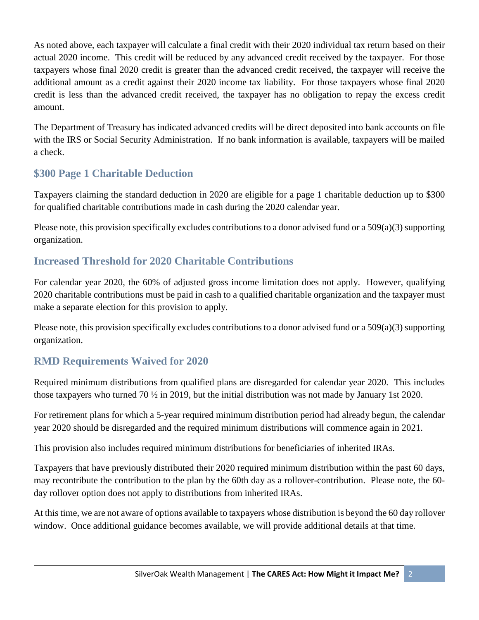As noted above, each taxpayer will calculate a final credit with their 2020 individual tax return based on their actual 2020 income. This credit will be reduced by any advanced credit received by the taxpayer. For those taxpayers whose final 2020 credit is greater than the advanced credit received, the taxpayer will receive the additional amount as a credit against their 2020 income tax liability. For those taxpayers whose final 2020 credit is less than the advanced credit received, the taxpayer has no obligation to repay the excess credit amount.

The Department of Treasury has indicated advanced credits will be direct deposited into bank accounts on file with the IRS or Social Security Administration. If no bank information is available, taxpayers will be mailed a check.

## **\$300 Page 1 Charitable Deduction**

Taxpayers claiming the standard deduction in 2020 are eligible for a page 1 charitable deduction up to \$300 for qualified charitable contributions made in cash during the 2020 calendar year.

Please note, this provision specifically excludes contributions to a donor advised fund or a  $509(a)(3)$  supporting organization.

#### **Increased Threshold for 2020 Charitable Contributions**

For calendar year 2020, the 60% of adjusted gross income limitation does not apply. However, qualifying 2020 charitable contributions must be paid in cash to a qualified charitable organization and the taxpayer must make a separate election for this provision to apply.

Please note, this provision specifically excludes contributions to a donor advised fund or a 509(a)(3) supporting organization.

## **RMD Requirements Waived for 2020**

Required minimum distributions from qualified plans are disregarded for calendar year 2020. This includes those taxpayers who turned 70 ½ in 2019, but the initial distribution was not made by January 1st 2020.

For retirement plans for which a 5-year required minimum distribution period had already begun, the calendar year 2020 should be disregarded and the required minimum distributions will commence again in 2021.

This provision also includes required minimum distributions for beneficiaries of inherited IRAs.

Taxpayers that have previously distributed their 2020 required minimum distribution within the past 60 days, may recontribute the contribution to the plan by the 60th day as a rollover-contribution. Please note, the 60 day rollover option does not apply to distributions from inherited IRAs.

At this time, we are not aware of options available to taxpayers whose distribution is beyond the 60 day rollover window. Once additional guidance becomes available, we will provide additional details at that time.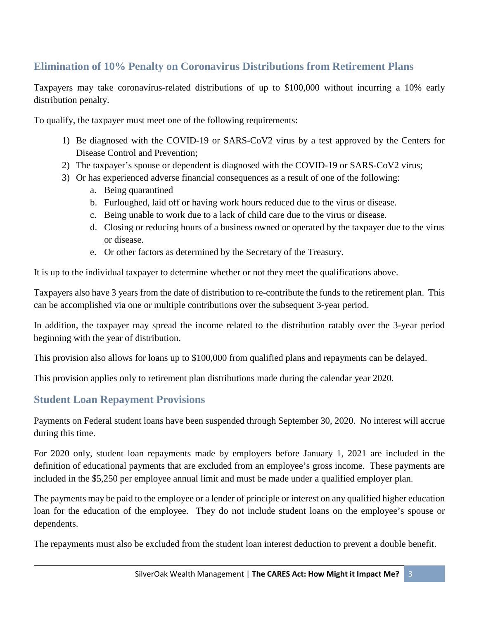# **Elimination of 10% Penalty on Coronavirus Distributions from Retirement Plans**

Taxpayers may take coronavirus-related distributions of up to \$100,000 without incurring a 10% early distribution penalty.

To qualify, the taxpayer must meet one of the following requirements:

- 1) Be diagnosed with the COVID-19 or SARS-CoV2 virus by a test approved by the Centers for Disease Control and Prevention;
- 2) The taxpayer's spouse or dependent is diagnosed with the COVID-19 or SARS-CoV2 virus;
- 3) Or has experienced adverse financial consequences as a result of one of the following:
	- a. Being quarantined
	- b. Furloughed, laid off or having work hours reduced due to the virus or disease.
	- c. Being unable to work due to a lack of child care due to the virus or disease.
	- d. Closing or reducing hours of a business owned or operated by the taxpayer due to the virus or disease.
	- e. Or other factors as determined by the Secretary of the Treasury.

It is up to the individual taxpayer to determine whether or not they meet the qualifications above.

Taxpayers also have 3 years from the date of distribution to re-contribute the funds to the retirement plan. This can be accomplished via one or multiple contributions over the subsequent 3-year period.

In addition, the taxpayer may spread the income related to the distribution ratably over the 3-year period beginning with the year of distribution.

This provision also allows for loans up to \$100,000 from qualified plans and repayments can be delayed.

This provision applies only to retirement plan distributions made during the calendar year 2020.

#### **Student Loan Repayment Provisions**

Payments on Federal student loans have been suspended through September 30, 2020. No interest will accrue during this time.

For 2020 only, student loan repayments made by employers before January 1, 2021 are included in the definition of educational payments that are excluded from an employee's gross income. These payments are included in the \$5,250 per employee annual limit and must be made under a qualified employer plan.

The payments may be paid to the employee or a lender of principle or interest on any qualified higher education loan for the education of the employee. They do not include student loans on the employee's spouse or dependents.

The repayments must also be excluded from the student loan interest deduction to prevent a double benefit.